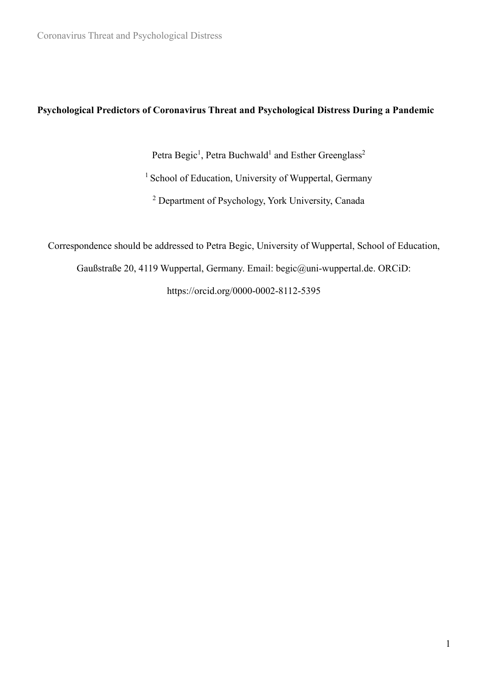## **Psychological Predictors of Coronavirus Threat and Psychological Distress During a Pandemic**

Petra Begic<sup>1</sup>, Petra Buchwald<sup>1</sup> and Esther Greenglass<sup>2</sup>

<sup>1</sup> School of Education, University of Wuppertal, Germany

<sup>2</sup> Department of Psychology, York University, Canada

Correspondence should be addressed to Petra Begic, University of Wuppertal, School of Education,

Gaußstraße 20, 4119 Wuppertal, Germany. Email: begic@uni-wuppertal.de. ORCiD:

https://orcid.org/0000-0002-8112-5395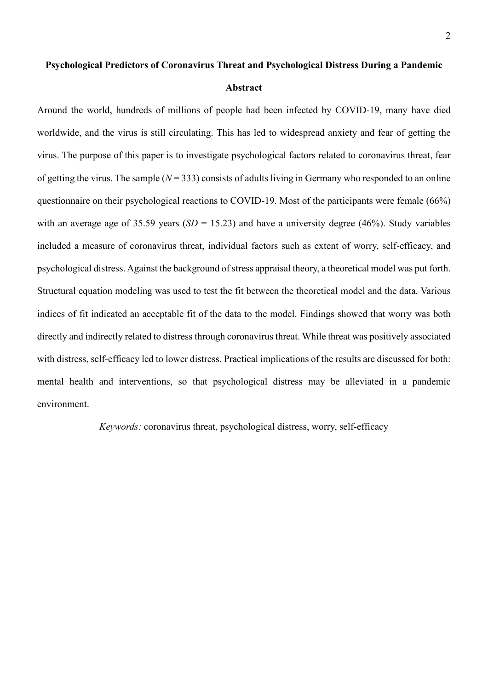# **Psychological Predictors of Coronavirus Threat and Psychological Distress During a Pandemic Abstract**

Around the world, hundreds of millions of people had been infected by COVID-19, many have died worldwide, and the virus is still circulating. This has led to widespread anxiety and fear of getting the virus. The purpose of this paper is to investigate psychological factors related to coronavirus threat, fear of getting the virus. The sample  $(N = 333)$  consists of adults living in Germany who responded to an online questionnaire on their psychological reactions to COVID-19. Most of the participants were female (66%) with an average age of 35.59 years  $(SD = 15.23)$  and have a university degree (46%). Study variables included a measure of coronavirus threat, individual factors such as extent of worry, self-efficacy, and psychological distress. Against the background of stress appraisal theory, a theoretical model was put forth. Structural equation modeling was used to test the fit between the theoretical model and the data. Various indices of fit indicated an acceptable fit of the data to the model. Findings showed that worry was both directly and indirectly related to distress through coronavirus threat. While threat was positively associated with distress, self-efficacy led to lower distress. Practical implications of the results are discussed for both: mental health and interventions, so that psychological distress may be alleviated in a pandemic environment.

*Keywords:* coronavirus threat, psychological distress, worry, self-efficacy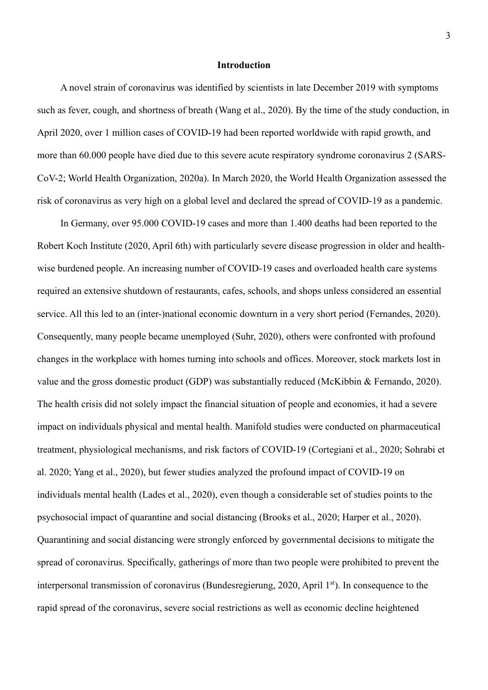#### **Introduction**

A novel strain of coronavirus was identified by scientists in late December 2019 with symptoms such as fever, cough, and shortness of breath (Wang et al., 2020). By the time of the study conduction, in April 2020, over 1 million cases of COVID-19 had been reported worldwide with rapid growth, and more than 60.000 people have died due to this severe acute respiratory syndrome coronavirus 2 (SARS-CoV-2; World Health Organization, 2020a). In March 2020, the World Health Organization assessed the risk of coronavirus as very high on a global level and declared the spread of COVID-19 as a pandemic.

In Germany, over 95.000 COVID-19 cases and more than 1.400 deaths had been reported to the Robert Koch Institute (2020, April 6th) with particularly severe disease progression in older and healthwise burdened people. An increasing number of COVID-19 cases and overloaded health care systems required an extensive shutdown of restaurants, cafes, schools, and shops unless considered an essential service. All this led to an (inter-)national economic downturn in a very short period (Fernandes, 2020). Consequently, many people became unemployed (Suhr, 2020), others were confronted with profound changes in the workplace with homes turning into schools and offices. Moreover, stock markets lost in value and the gross domestic product (GDP) was substantially reduced (McKibbin & Fernando, 2020). The health crisis did not solely impact the financial situation of people and economies, it had a severe impact on individuals physical and mental health. Manifold studies were conducted on pharmaceutical treatment, physiological mechanisms, and risk factors of COVID-19 (Cortegiani et al., 2020; Sohrabi et al. 2020; Yang et al., 2020), but fewer studies analyzed the profound impact of COVID-19 on individuals mental health (Lades et al., 2020), even though a considerable set of studies points to the psychosocial impact of quarantine and social distancing (Brooks et al., 2020; Harper et al., 2020). Quarantining and social distancing were strongly enforced by governmental decisions to mitigate the spread of coronavirus. Specifically, gatherings of more than two people were prohibited to prevent the interpersonal transmission of coronavirus (Bundesregierung, 2020, April 1<sup>st</sup>). In consequence to the rapid spread of the coronavirus, severe social restrictions as well as economic decline heightened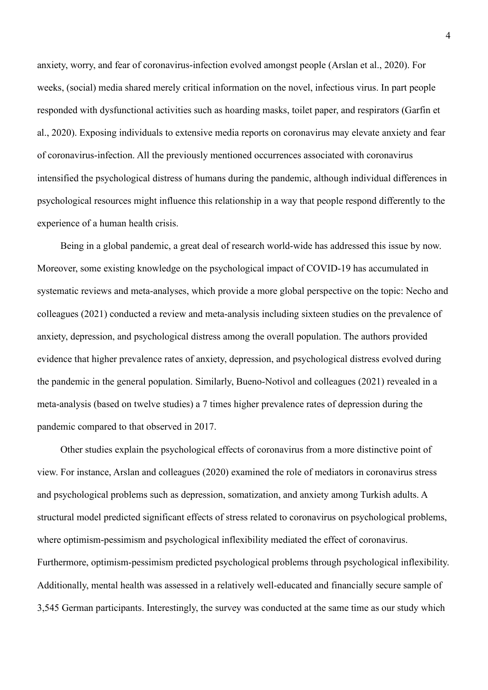anxiety, worry, and fear of coronavirus-infection evolved amongst people (Arslan et al., 2020). For weeks, (social) media shared merely critical information on the novel, infectious virus. In part people responded with dysfunctional activities such as hoarding masks, toilet paper, and respirators (Garfin et al., 2020). Exposing individuals to extensive media reports on coronavirus may elevate anxiety and fear of coronavirus-infection. All the previously mentioned occurrences associated with coronavirus intensified the psychological distress of humans during the pandemic, although individual differences in psychological resources might influence this relationship in a way that people respond differently to the experience of a human health crisis.

Being in a global pandemic, a great deal of research world-wide has addressed this issue by now. Moreover, some existing knowledge on the psychological impact of COVID-19 has accumulated in systematic reviews and meta-analyses, which provide a more global perspective on the topic: Necho and colleagues (2021) conducted a review and meta-analysis including sixteen studies on the prevalence of anxiety, depression, and psychological distress among the overall population. The authors provided evidence that higher prevalence rates of anxiety, depression, and psychological distress evolved during the pandemic in the general population. Similarly, Bueno-Notivol and colleagues (2021) revealed in a meta-analysis (based on twelve studies) a 7 times higher prevalence rates of depression during the pandemic compared to that observed in 2017.

Other studies explain the psychological effects of coronavirus from a more distinctive point of view. For instance, Arslan and colleagues (2020) examined the role of mediators in coronavirus stress and psychological problems such as depression, somatization, and anxiety among Turkish adults. A structural model predicted significant effects of stress related to coronavirus on psychological problems, where optimism-pessimism and psychological inflexibility mediated the effect of coronavirus. Furthermore, optimism-pessimism predicted psychological problems through psychological inflexibility. Additionally, mental health was assessed in a relatively well-educated and financially secure sample of 3,545 German participants. Interestingly, the survey was conducted at the same time as our study which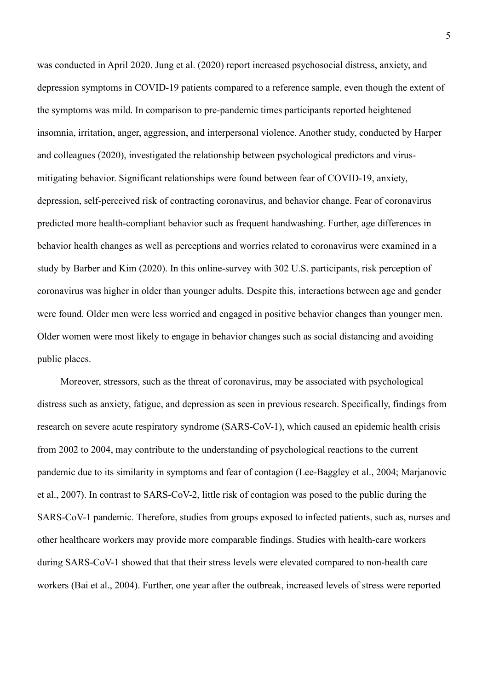was conducted in April 2020. Jung et al. (2020) report increased psychosocial distress, anxiety, and depression symptoms in COVID-19 patients compared to a reference sample, even though the extent of the symptoms was mild. In comparison to pre-pandemic times participants reported heightened insomnia, irritation, anger, aggression, and interpersonal violence. Another study, conducted by Harper and colleagues (2020), investigated the relationship between psychological predictors and virusmitigating behavior. Significant relationships were found between fear of COVID-19, anxiety, depression, self-perceived risk of contracting coronavirus, and behavior change. Fear of coronavirus predicted more health-compliant behavior such as frequent handwashing. Further, age differences in behavior health changes as well as perceptions and worries related to coronavirus were examined in a study by Barber and Kim (2020). In this online-survey with 302 U.S. participants, risk perception of coronavirus was higher in older than younger adults. Despite this, interactions between age and gender were found. Older men were less worried and engaged in positive behavior changes than younger men. Older women were most likely to engage in behavior changes such as social distancing and avoiding public places.

Moreover, stressors, such as the threat of coronavirus, may be associated with psychological distress such as anxiety, fatigue, and depression as seen in previous research. Specifically, findings from research on severe acute respiratory syndrome (SARS-CoV-1), which caused an epidemic health crisis from 2002 to 2004, may contribute to the understanding of psychological reactions to the current pandemic due to its similarity in symptoms and fear of contagion (Lee-Baggley et al., 2004; Marjanovic et al., 2007). In contrast to SARS-CoV-2, little risk of contagion was posed to the public during the SARS-CoV-1 pandemic. Therefore, studies from groups exposed to infected patients, such as, nurses and other healthcare workers may provide more comparable findings. Studies with health-care workers during SARS-CoV-1 showed that that their stress levels were elevated compared to non-health care workers (Bai et al., 2004). Further, one year after the outbreak, increased levels of stress were reported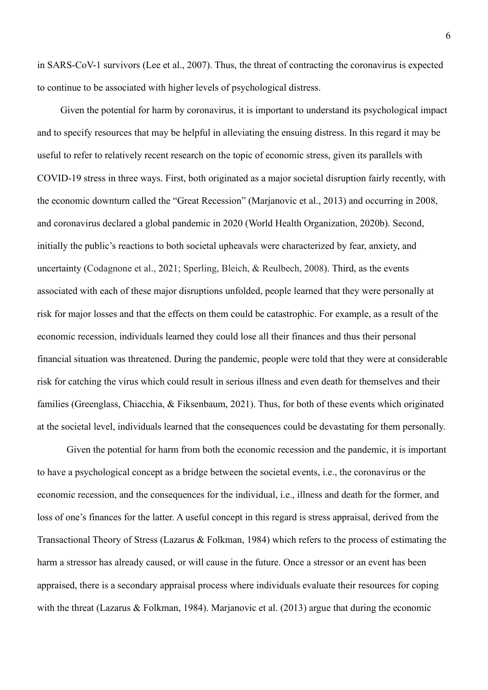in SARS-CoV-1 survivors (Lee et al., 2007). Thus, the threat of contracting the coronavirus is expected to continue to be associated with higher levels of psychological distress.

Given the potential for harm by coronavirus, it is important to understand its psychological impact and to specify resources that may be helpful in alleviating the ensuing distress. In this regard it may be useful to refer to relatively recent research on the topic of economic stress, given its parallels with COVID-19 stress in three ways. First, both originated as a major societal disruption fairly recently, with the economic downturn called the "Great Recession" (Marjanovic et al., 2013) and occurring in 2008, and coronavirus declared a global pandemic in 2020 (World Health Organization, 2020b). Second, initially the public's reactions to both societal upheavals were characterized by fear, anxiety, and uncertainty (Codagnone et al., [2021](https://onlinelibrary.wiley.com/doi/10.1002/ijop.12820#ijop12820-bib-0011); Sperling, Bleich, & Reulbech, 2008). Third, as the events associated with each of these major disruptions unfolded, people learned that they were personally at risk for major losses and that the effects on them could be catastrophic. For example, as a result of the economic recession, individuals learned they could lose all their finances and thus their personal financial situation was threatened. During the pandemic, people were told that they were at considerable risk for catching the virus which could result in serious illness and even death for themselves and their families (Greenglass, Chiacchia, & Fiksenbaum, 2021). Thus, for both of these events which originated at the societal level, individuals learned that the consequences could be devastating for them personally.

Given the potential for harm from both the economic recession and the pandemic, it is important to have a psychological concept as a bridge between the societal events, i.e., the coronavirus or the economic recession, and the consequences for the individual, i.e., illness and death for the former, and loss of one's finances for the latter. A useful concept in this regard is stress appraisal, derived from the Transactional Theory of Stress (Lazarus & Folkman, 1984) which refers to the process of estimating the harm a stressor has already caused, or will cause in the future. Once a stressor or an event has been appraised, there is a secondary appraisal process where individuals evaluate their resources for coping with the threat (Lazarus & Folkman, 1984). Marjanovic et al. (2013) argue that during the economic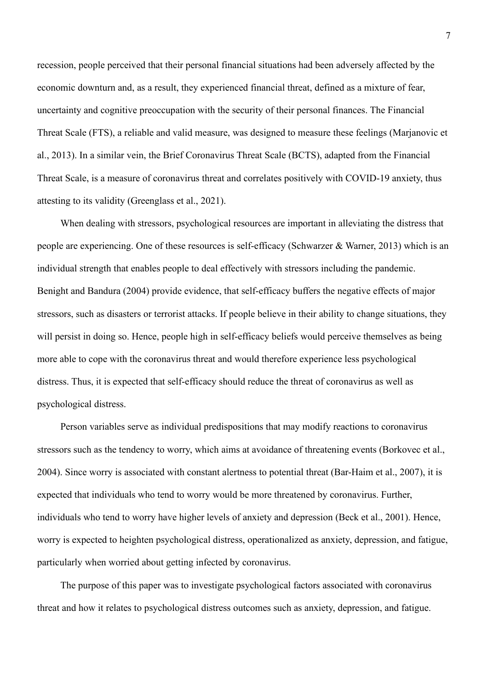recession, people perceived that their personal financial situations had been adversely affected by the economic downturn and, as a result, they experienced financial threat, defined as a mixture of fear, uncertainty and cognitive preoccupation with the security of their personal finances. The Financial Threat Scale (FTS), a reliable and valid measure, was designed to measure these feelings (Marjanovic et al., 2013). In a similar vein, the Brief Coronavirus Threat Scale (BCTS), adapted from the Financial Threat Scale, is a measure of coronavirus threat and correlates positively with COVID-19 anxiety, thus attesting to its validity (Greenglass et al., 2021).

When dealing with stressors, psychological resources are important in alleviating the distress that people are experiencing. One of these resources is self-efficacy (Schwarzer & Warner, 2013) which is an individual strength that enables people to deal effectively with stressors including the pandemic. Benight and Bandura (2004) provide evidence, that self-efficacy buffers the negative effects of major stressors, such as disasters or terrorist attacks. If people believe in their ability to change situations, they will persist in doing so. Hence, people high in self-efficacy beliefs would perceive themselves as being more able to cope with the coronavirus threat and would therefore experience less psychological distress. Thus, it is expected that self-efficacy should reduce the threat of coronavirus as well as psychological distress.

Person variables serve as individual predispositions that may modify reactions to coronavirus stressors such as the tendency to worry, which aims at avoidance of threatening events (Borkovec et al., 2004). Since worry is associated with constant alertness to potential threat (Bar-Haim et al., 2007), it is expected that individuals who tend to worry would be more threatened by coronavirus. Further, individuals who tend to worry have higher levels of anxiety and depression (Beck et al., 2001). Hence, worry is expected to heighten psychological distress, operationalized as anxiety, depression, and fatigue, particularly when worried about getting infected by coronavirus.

The purpose of this paper was to investigate psychological factors associated with coronavirus threat and how it relates to psychological distress outcomes such as anxiety, depression, and fatigue.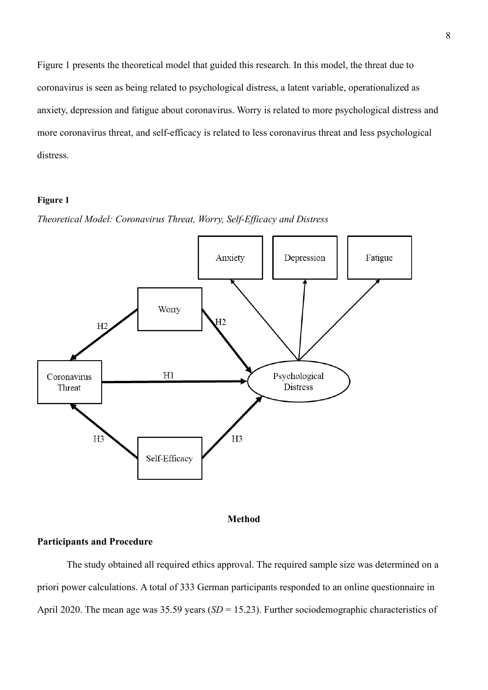Figure 1 presents the theoretical model that guided this research. In this model, the threat due to coronavirus is seen as being related to psychological distress, a latent variable, operationalized as anxiety, depression and fatigue about coronavirus. Worry is related to more psychological distress and more coronavirus threat, and self-efficacy is related to less coronavirus threat and less psychological distress.

#### **Figure 1**







#### **Participants and Procedure**

The study obtained all required ethics approval. The required sample size was determined on a priori power calculations. A total of 333 German participants responded to an online questionnaire in April 2020. The mean age was 35.59 years (*SD* = 15.23). Further sociodemographic characteristics of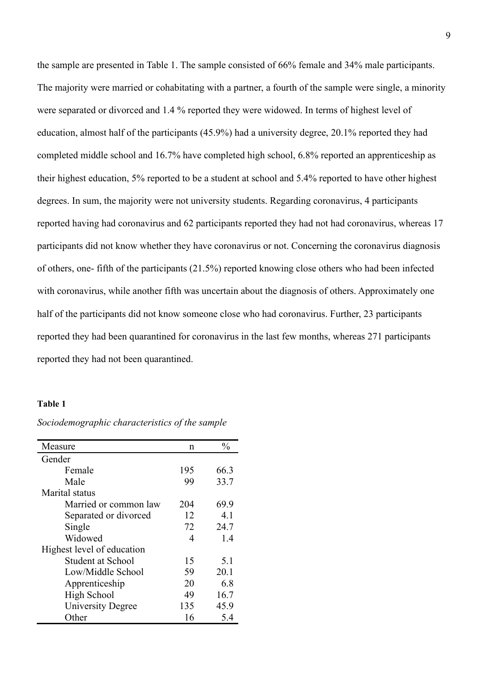the sample are presented in Table 1. The sample consisted of 66% female and 34% male participants. The majority were married or cohabitating with a partner, a fourth of the sample were single, a minority were separated or divorced and 1.4 % reported they were widowed. In terms of highest level of education, almost half of the participants (45.9%) had a university degree, 20.1% reported they had completed middle school and 16.7% have completed high school, 6.8% reported an apprenticeship as their highest education, 5% reported to be a student at school and 5.4% reported to have other highest degrees. In sum, the majority were not university students. Regarding coronavirus, 4 participants reported having had coronavirus and 62 participants reported they had not had coronavirus, whereas 17 participants did not know whether they have coronavirus or not. Concerning the coronavirus diagnosis of others, one- fifth of the participants (21.5%) reported knowing close others who had been infected with coronavirus, while another fifth was uncertain about the diagnosis of others. Approximately one half of the participants did not know someone close who had coronavirus. Further, 23 participants reported they had been quarantined for coronavirus in the last few months, whereas 271 participants reported they had not been quarantined.

#### **Table 1**

| Measure                    | n   | $\frac{0}{0}$ |
|----------------------------|-----|---------------|
| Gender                     |     |               |
| Female                     | 195 | 66.3          |
| Male                       | 99  | 33.7          |
| Marital status             |     |               |
| Married or common law      | 204 | 69.9          |
| Separated or divorced      | 12  | 4.1           |
| Single                     | 72  | 24.7          |
| Widowed                    | 4   | 1.4           |
| Highest level of education |     |               |
| Student at School          | 15  | 5.1           |
| Low/Middle School          | 59  | 20.1          |
| Apprenticeship             | 20  | 6.8           |
| High School                | 49  | 16.7          |
| University Degree          | 135 | 45.9          |
| Other                      | 16  | 5.4           |

*Sociodemographic characteristics of the sample*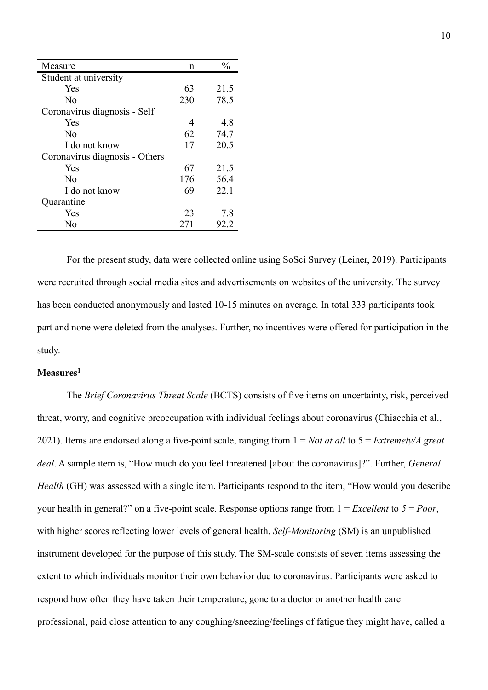| Measure                        | n   | $\frac{0}{0}$ |
|--------------------------------|-----|---------------|
| Student at university          |     |               |
| Yes                            | 63  | 21.5          |
| N <sub>0</sub>                 | 230 | 78.5          |
| Coronavirus diagnosis - Self   |     |               |
| Yes                            | 4   | 4.8           |
| N <sub>0</sub>                 | 62  | 74.7          |
| I do not know                  | 17  | 20.5          |
| Coronavirus diagnosis - Others |     |               |
| Yes                            | 67  | 21.5          |
| $\rm N_{0}$                    | 176 | 56.4          |
| I do not know                  | 69  | 22.1          |
| Quarantine                     |     |               |
| Yes                            | 23  | 7.8           |
| No                             | 271 | 92.2          |

For the present study, data were collected online using SoSci Survey (Leiner, 2019). Participants were recruited through social media sites and advertisements on websites of the university. The survey has been conducted anonymously and lasted 10-15 minutes on average. In total 333 participants took part and none were deleted from the analyses. Further, no incentives were offered for participation in the study.

## **Measures1**

The *Brief Coronavirus Threat Scale* (BCTS) consists of five items on uncertainty, risk, perceived threat, worry, and cognitive preoccupation with individual feelings about coronavirus (Chiacchia et al., 2021). Items are endorsed along a five-point scale, ranging from 1 = *Not at all* to 5 = *Extremely/A great deal*. A sample item is, "How much do you feel threatened [about the coronavirus]?". Further, *General Health* (GH) was assessed with a single item. Participants respond to the item, "How would you describe your health in general?" on a five-point scale. Response options range from 1 = *Excellent* to *5* = *Poor*, with higher scores reflecting lower levels of general health. *Self-Monitoring* (SM) is an unpublished instrument developed for the purpose of this study. The SM-scale consists of seven items assessing the extent to which individuals monitor their own behavior due to coronavirus. Participants were asked to respond how often they have taken their temperature, gone to a doctor or another health care professional, paid close attention to any coughing/sneezing/feelings of fatigue they might have, called a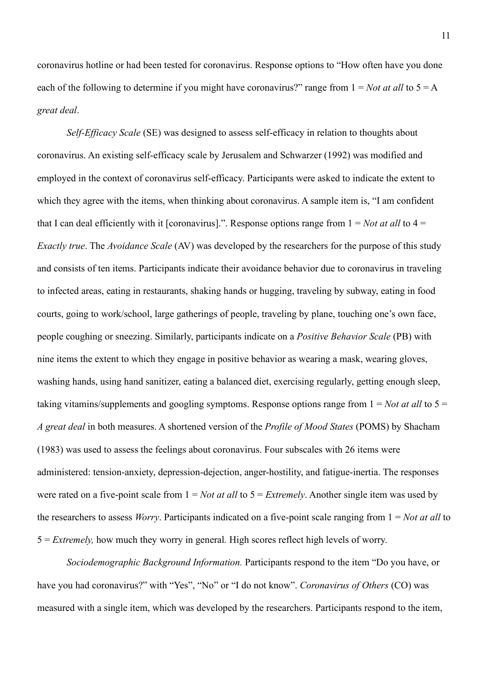coronavirus hotline or had been tested for coronavirus. Response options to "How often have you done each of the following to determine if you might have coronavirus?" range from  $1 = Not$  *at all* to  $5 = A$ *great deal*.

*Self-Efficacy Scale* (SE) was designed to assess self-efficacy in relation to thoughts about coronavirus. An existing self-efficacy scale by Jerusalem and Schwarzer (1992) was modified and employed in the context of coronavirus self-efficacy. Participants were asked to indicate the extent to which they agree with the items, when thinking about coronavirus. A sample item is, "I am confident that I can deal efficiently with it [coronavirus].". Response options range from  $1 = Not$  *at all* to  $4 =$ *Exactly true*. The *Avoidance Scale* (AV) was developed by the researchers for the purpose of this study and consists of ten items. Participants indicate their avoidance behavior due to coronavirus in traveling to infected areas, eating in restaurants, shaking hands or hugging, traveling by subway, eating in food courts, going to work/school, large gatherings of people, traveling by plane, touching one's own face, people coughing or sneezing. Similarly, participants indicate on a *Positive Behavior Scale* (PB) with nine items the extent to which they engage in positive behavior as wearing a mask, wearing gloves, washing hands, using hand sanitizer, eating a balanced diet, exercising regularly, getting enough sleep, taking vitamins/supplements and googling symptoms. Response options range from  $1 = Not$  at all to  $5 =$ *A great deal* in both measures. A shortened version of the *Profile of Mood States* (POMS) by Shacham (1983) was used to assess the feelings about coronavirus. Four subscales with 26 items were administered: tension-anxiety, depression-dejection, anger-hostility, and fatigue-inertia. The responses were rated on a five-point scale from 1 = *Not at all* to 5 = *Extremely*. Another single item was used by the researchers to assess *Worry*. Participants indicated on a five-point scale ranging from 1 = *Not at all* to 5 = *Extremely,* how much they worry in general*.* High scores reflect high levels of worry.

*Sociodemographic Background Information.* Participants respond to the item "Do you have, or have you had coronavirus?" with "Yes", "No" or "I do not know". *Coronavirus of Others* (CO) was measured with a single item, which was developed by the researchers. Participants respond to the item,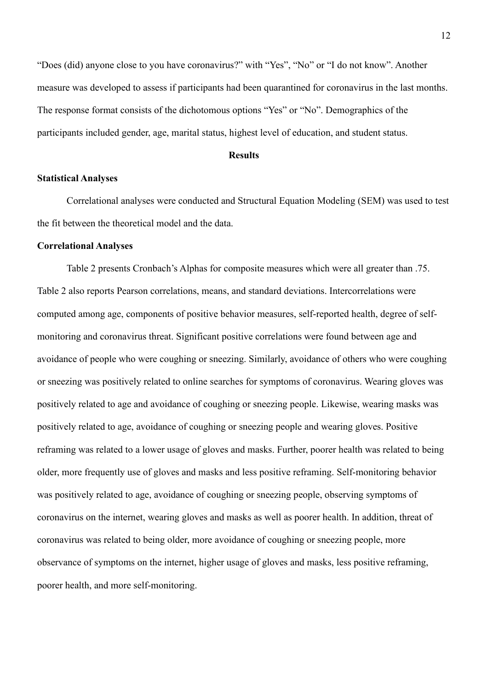"Does (did) anyone close to you have coronavirus?" with "Yes", "No" or "I do not know". Another measure was developed to assess if participants had been quarantined for coronavirus in the last months. The response format consists of the dichotomous options "Yes" or "No". Demographics of the participants included gender, age, marital status, highest level of education, and student status.

#### **Results**

#### **Statistical Analyses**

Correlational analyses were conducted and Structural Equation Modeling (SEM) was used to test the fit between the theoretical model and the data.

#### **Correlational Analyses**

Table 2 presents Cronbach's Alphas for composite measures which were all greater than .75. Table 2 also reports Pearson correlations, means, and standard deviations. Intercorrelations were computed among age, components of positive behavior measures, self-reported health, degree of selfmonitoring and coronavirus threat. Significant positive correlations were found between age and avoidance of people who were coughing or sneezing. Similarly, avoidance of others who were coughing or sneezing was positively related to online searches for symptoms of coronavirus. Wearing gloves was positively related to age and avoidance of coughing or sneezing people. Likewise, wearing masks was positively related to age, avoidance of coughing or sneezing people and wearing gloves. Positive reframing was related to a lower usage of gloves and masks. Further, poorer health was related to being older, more frequently use of gloves and masks and less positive reframing. Self-monitoring behavior was positively related to age, avoidance of coughing or sneezing people, observing symptoms of coronavirus on the internet, wearing gloves and masks as well as poorer health. In addition, threat of coronavirus was related to being older, more avoidance of coughing or sneezing people, more observance of symptoms on the internet, higher usage of gloves and masks, less positive reframing, poorer health, and more self-monitoring.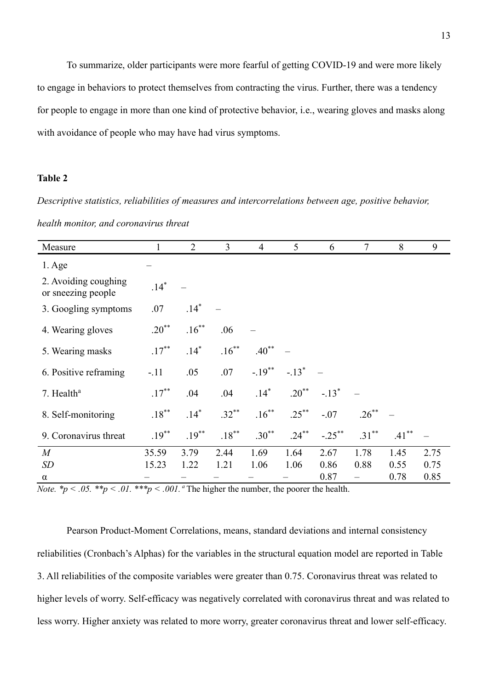To summarize, older participants were more fearful of getting COVID-19 and were more likely to engage in behaviors to protect themselves from contracting the virus. Further, there was a tendency for people to engage in more than one kind of protective behavior, i.e., wearing gloves and masks along with avoidance of people who may have had virus symptoms.

## **Table 2**

*Descriptive statistics, reliabilities of measures and intercorrelations between age, positive behavior, health monitor, and coronavirus threat*

| Measure                                    |            | $\overline{2}$ | $\overline{3}$ | $\overline{4}$ | 5 <sup>5</sup>      | 6         | $\tau$   | 8        | 9    |
|--------------------------------------------|------------|----------------|----------------|----------------|---------------------|-----------|----------|----------|------|
| $1. \text{Age}$                            |            |                |                |                |                     |           |          |          |      |
| 2. Avoiding coughing<br>or sneezing people | $.14*$     |                |                |                |                     |           |          |          |      |
| 3. Googling symptoms                       | .07        | $.14*$         |                |                |                     |           |          |          |      |
| 4. Wearing gloves                          | $.20^{**}$ | $.16***$       | .06            |                |                     |           |          |          |      |
| 5. Wearing masks                           | $.17***$   | $.14*$         | $.16***$       | $.40***$       |                     |           |          |          |      |
| 6. Positive reframing                      | $-.11$     | .05            | .07            | $-.19***$      | $-.13$ <sup>*</sup> |           |          |          |      |
| 7. Health <sup>a</sup>                     | $.17***$   | .04            | .04            | $.14*$         | $.20***$            | $-.13*$   |          |          |      |
| 8. Self-monitoring                         | $.18***$   | $.14*$         | $.32***$       | $.16***$       | $.25***$            | $-.07$    | $.26***$ |          |      |
| 9. Coronavirus threat                      | $.19***$   | $.19***$       | $.18***$       | $.30***$       | $.24***$            | $-.25***$ | $.31***$ | $.41***$ |      |
| M                                          | 35.59      | 3.79           | 2.44           | 1.69           | 1.64                | 2.67      | 1.78     | 1.45     | 2.75 |
| SD                                         | 15.23      | 1.22           | 1.21           | 1.06           | 1.06                | 0.86      | 0.88     | 0.55     | 0.75 |
| $\alpha$                                   |            |                |                |                |                     | 0.87      |          | 0.78     | 0.85 |

*Note.* \* $p < .05$ . \*\* $p < .01$ . \*\* $p < .001$ . <sup>a</sup>The higher the number, the poorer the health.

Pearson Product-Moment Correlations, means, standard deviations and internal consistency reliabilities (Cronbach's Alphas) for the variables in the structural equation model are reported in Table 3. All reliabilities of the composite variables were greater than 0.75. Coronavirus threat was related to higher levels of worry. Self-efficacy was negatively correlated with coronavirus threat and was related to less worry. Higher anxiety was related to more worry, greater coronavirus threat and lower self-efficacy.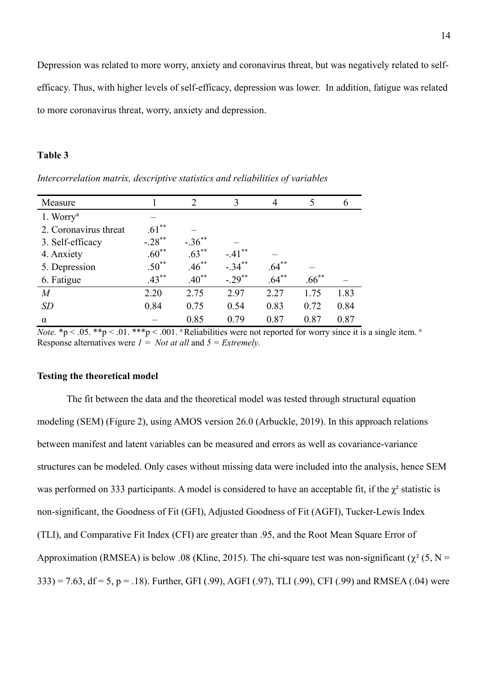#### **Table 3**

| Measure               |            | $\mathcal{P}$ | 3                    | 4        |          |      |
|-----------------------|------------|---------------|----------------------|----------|----------|------|
| 1. Worry <sup>a</sup> |            |               |                      |          |          |      |
| 2. Coronavirus threat | $.61***$   |               |                      |          |          |      |
| 3. Self-efficacy      | $-.28$ **  | $-.36$ **     |                      |          |          |      |
| 4. Anxiety            | $.60**$    | $.63***$      | $-.41***$            |          |          |      |
| 5. Depression         | $.50^{**}$ | $.46***$      | $-.34***$            | $.64***$ |          |      |
| 6. Fatigue            | $.43***$   | $.40***$      | $-.29$ <sup>**</sup> | $.64***$ | $.66***$ |      |
| $\overline{M}$        | 2.20       | 2.75          | 2.97                 | 2.27     | 1.75     | 1.83 |
| SD                    | 0.84       | 0.75          | 0.54                 | 0.83     | 0.72     | 0.84 |
| $\alpha$              |            | 0.85          | 0.79                 | 0.87     | 0.87     | 0.87 |

*Intercorrelation matrix, descriptive statistics and reliabilities of variables*

*Note.*  $*p < .05$ .  $**p < .01$ .  $**p < .001$ . <sup>a</sup> Reliabilities were not reported for worry since it is a single item. <sup>a</sup> Response alternatives were *1 = Not at all* and *5 = Extremely.*

#### **Testing the theoretical model**

The fit between the data and the theoretical model was tested through structural equation modeling (SEM) (Figure 2), using AMOS version 26.0 (Arbuckle, 2019). In this approach relations between manifest and latent variables can be measured and errors as well as covariance-variance structures can be modeled. Only cases without missing data were included into the analysis, hence SEM was performed on 333 participants. A model is considered to have an acceptable fit, if the  $\chi^2$  statistic is non-significant, the Goodness of Fit (GFI), Adjusted Goodness of Fit (AGFI), Tucker-Lewis Index (TLI), and Comparative Fit Index (CFI) are greater than .95, and the Root Mean Square Error of Approximation (RMSEA) is below .08 (Kline, 2015). The chi-square test was non-significant ( $\chi^2$  (5, N =  $333$ ) = 7.63, df = 5, p = .18). Further, GFI (.99), AGFI (.97), TLI (.99), CFI (.99) and RMSEA (.04) were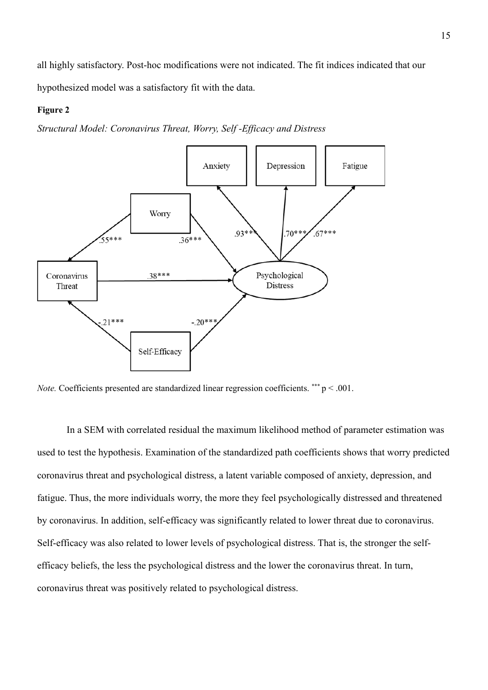all highly satisfactory. Post-hoc modifications were not indicated. The fit indices indicated that our hypothesized model was a satisfactory fit with the data.

#### **Figure 2**

*Structural Model: Coronavirus Threat, Worry, Self -Efficacy and Distress*



*Note.* Coefficients presented are standardized linear regression coefficients. \*\*\* p < .001.

In a SEM with correlated residual the maximum likelihood method of parameter estimation was used to test the hypothesis. Examination of the standardized path coefficients shows that worry predicted coronavirus threat and psychological distress, a latent variable composed of anxiety, depression, and fatigue. Thus, the more individuals worry, the more they feel psychologically distressed and threatened by coronavirus. In addition, self-efficacy was significantly related to lower threat due to coronavirus. Self-efficacy was also related to lower levels of psychological distress. That is, the stronger the selfefficacy beliefs, the less the psychological distress and the lower the coronavirus threat. In turn, coronavirus threat was positively related to psychological distress.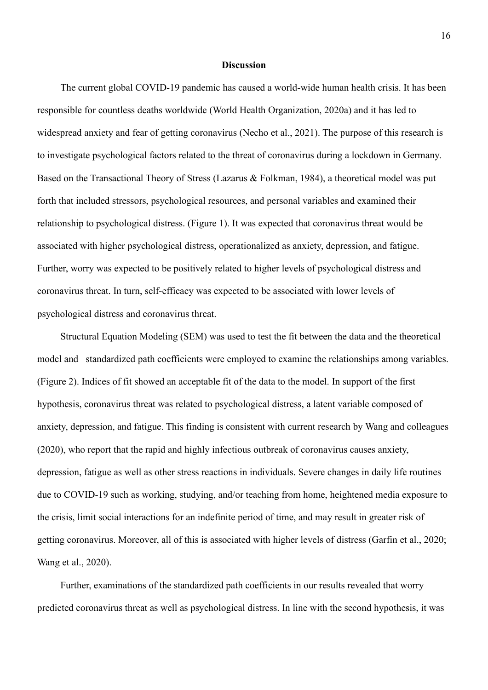#### **Discussion**

The current global COVID-19 pandemic has caused a world-wide human health crisis. It has been responsible for countless deaths worldwide (World Health Organization, 2020a) and it has led to widespread anxiety and fear of getting coronavirus (Necho et al., 2021). The purpose of this research is to investigate psychological factors related to the threat of coronavirus during a lockdown in Germany. Based on the Transactional Theory of Stress (Lazarus & Folkman, 1984), a theoretical model was put forth that included stressors, psychological resources, and personal variables and examined their relationship to psychological distress. (Figure 1). It was expected that coronavirus threat would be associated with higher psychological distress, operationalized as anxiety, depression, and fatigue. Further, worry was expected to be positively related to higher levels of psychological distress and coronavirus threat. In turn, self-efficacy was expected to be associated with lower levels of psychological distress and coronavirus threat.

Structural Equation Modeling (SEM) was used to test the fit between the data and the theoretical model and standardized path coefficients were employed to examine the relationships among variables. (Figure 2). Indices of fit showed an acceptable fit of the data to the model. In support of the first hypothesis, coronavirus threat was related to psychological distress, a latent variable composed of anxiety, depression, and fatigue. This finding is consistent with current research by Wang and colleagues (2020), who report that the rapid and highly infectious outbreak of coronavirus causes anxiety, depression, fatigue as well as other stress reactions in individuals. Severe changes in daily life routines due to COVID-19 such as working, studying, and/or teaching from home, heightened media exposure to the crisis, limit social interactions for an indefinite period of time, and may result in greater risk of getting coronavirus. Moreover, all of this is associated with higher levels of distress (Garfin et al., 2020; Wang et al., 2020).

Further, examinations of the standardized path coefficients in our results revealed that worry predicted coronavirus threat as well as psychological distress. In line with the second hypothesis, it was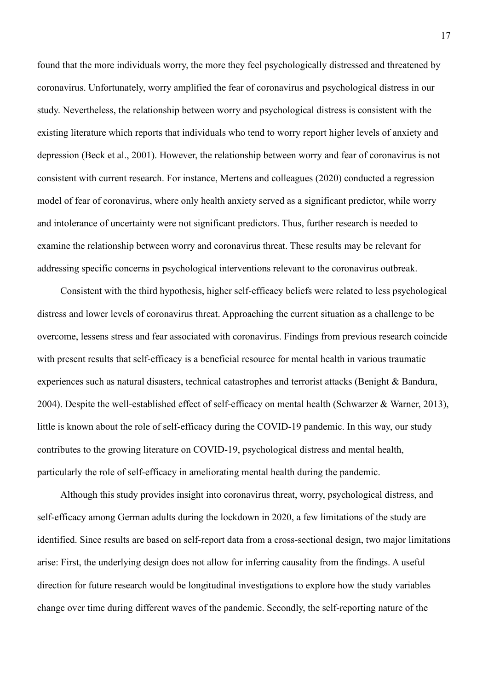found that the more individuals worry, the more they feel psychologically distressed and threatened by coronavirus. Unfortunately, worry amplified the fear of coronavirus and psychological distress in our study. Nevertheless, the relationship between worry and psychological distress is consistent with the existing literature which reports that individuals who tend to worry report higher levels of anxiety and depression (Beck et al., 2001). However, the relationship between worry and fear of coronavirus is not consistent with current research. For instance, Mertens and colleagues (2020) conducted a regression model of fear of coronavirus, where only health anxiety served as a significant predictor, while worry and intolerance of uncertainty were not significant predictors. Thus, further research is needed to examine the relationship between worry and coronavirus threat. These results may be relevant for addressing specific concerns in psychological interventions relevant to the coronavirus outbreak.

Consistent with the third hypothesis, higher self-efficacy beliefs were related to less psychological distress and lower levels of coronavirus threat. Approaching the current situation as a challenge to be overcome, lessens stress and fear associated with coronavirus. Findings from previous research coincide with present results that self-efficacy is a beneficial resource for mental health in various traumatic experiences such as natural disasters, technical catastrophes and terrorist attacks (Benight & Bandura, 2004). Despite the well-established effect of self-efficacy on mental health (Schwarzer & Warner, 2013), little is known about the role of self-efficacy during the COVID-19 pandemic. In this way, our study contributes to the growing literature on COVID-19, psychological distress and mental health, particularly the role of self-efficacy in ameliorating mental health during the pandemic.

Although this study provides insight into coronavirus threat, worry, psychological distress, and self-efficacy among German adults during the lockdown in 2020, a few limitations of the study are identified. Since results are based on self-report data from a cross-sectional design, two major limitations arise: First, the underlying design does not allow for inferring causality from the findings. A useful direction for future research would be longitudinal investigations to explore how the study variables change over time during different waves of the pandemic. Secondly, the self-reporting nature of the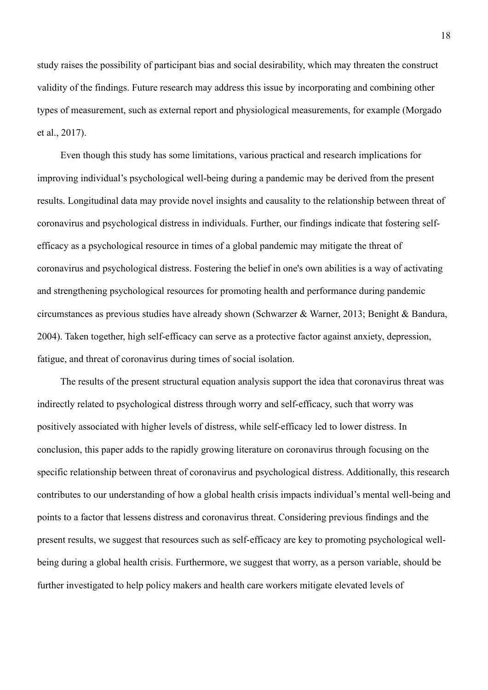study raises the possibility of participant bias and social desirability, which may threaten the construct validity of the findings. Future research may address this issue by incorporating and combining other types of measurement, such as external report and physiological measurements, for example (Morgado et al., 2017).

Even though this study has some limitations, various practical and research implications for improving individual's psychological well-being during a pandemic may be derived from the present results. Longitudinal data may provide novel insights and causality to the relationship between threat of coronavirus and psychological distress in individuals. Further, our findings indicate that fostering selfefficacy as a psychological resource in times of a global pandemic may mitigate the threat of coronavirus and psychological distress. Fostering the belief in one's own abilities is a way of activating and strengthening psychological resources for promoting health and performance during pandemic circumstances as previous studies have already shown (Schwarzer & Warner, 2013; Benight & Bandura, 2004). Taken together, high self-efficacy can serve as a protective factor against anxiety, depression, fatigue, and threat of coronavirus during times of social isolation.

The results of the present structural equation analysis support the idea that coronavirus threat was indirectly related to psychological distress through worry and self-efficacy, such that worry was positively associated with higher levels of distress, while self-efficacy led to lower distress. In conclusion, this paper adds to the rapidly growing literature on coronavirus through focusing on the specific relationship between threat of coronavirus and psychological distress. Additionally, this research contributes to our understanding of how a global health crisis impacts individual's mental well-being and points to a factor that lessens distress and coronavirus threat. Considering previous findings and the present results, we suggest that resources such as self-efficacy are key to promoting psychological wellbeing during a global health crisis. Furthermore, we suggest that worry, as a person variable, should be further investigated to help policy makers and health care workers mitigate elevated levels of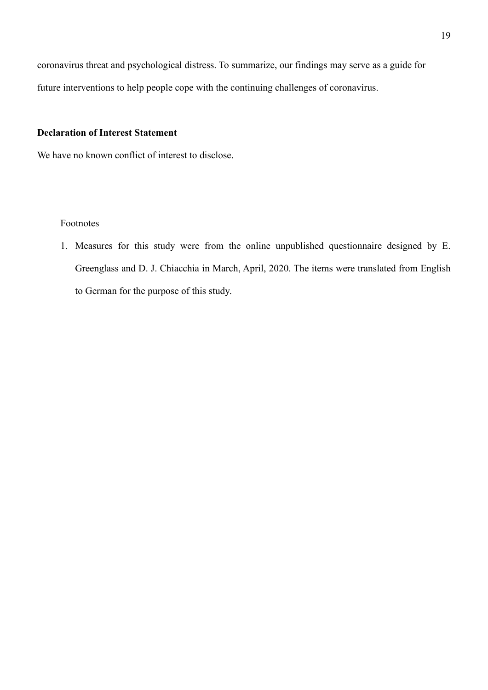coronavirus threat and psychological distress. To summarize, our findings may serve as a guide for future interventions to help people cope with the continuing challenges of coronavirus.

## **Declaration of Interest Statement**

We have no known conflict of interest to disclose.

#### Footnotes

1. Measures for this study were from the online unpublished questionnaire designed by E. Greenglass and D. J. Chiacchia in March, April, 2020. The items were translated from English to German for the purpose of this study.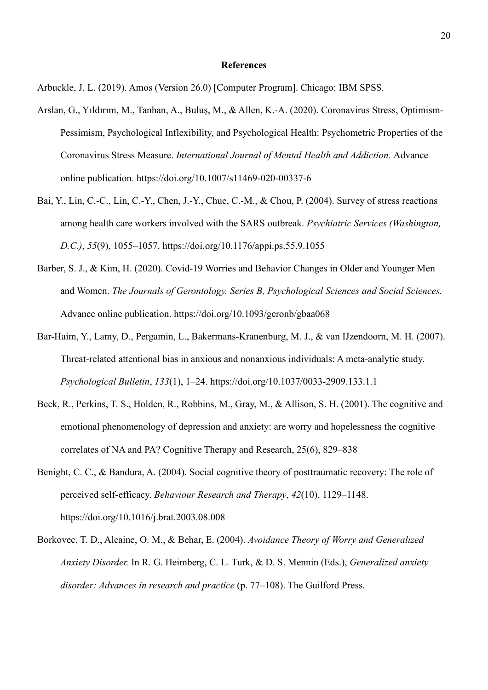#### **References**

Arbuckle, J. L. (2019). Amos (Version 26.0) [Computer Program]. Chicago: IBM SPSS.

- Arslan, G., Yıldırım, M., Tanhan, A., Buluş, M., & Allen, K.-A. (2020). Coronavirus Stress, Optimism-Pessimism, Psychological Inflexibility, and Psychological Health: Psychometric Properties of the Coronavirus Stress Measure. *International Journal of Mental Health and Addiction.* Advance online publication. https://doi.org/10.1007/s11469-020-00337-6
- Bai, Y., Lin, C.-C., Lin, C.-Y., Chen, J.-Y., Chue, C.-M., & Chou, P. (2004). Survey of stress reactions among health care workers involved with the SARS outbreak. *Psychiatric Services (Washington, D.C.)*, *55*(9), 1055–1057. https://doi.org/10.1176/appi.ps.55.9.1055
- Barber, S. J., & Kim, H. (2020). Covid-19 Worries and Behavior Changes in Older and Younger Men and Women. *The Journals of Gerontology. Series B, Psychological Sciences and Social Sciences.*  Advance online publication. https://doi.org/10.1093/geronb/gbaa068
- Bar-Haim, Y., Lamy, D., Pergamin, L., Bakermans-Kranenburg, M. J., & van IJzendoorn, M. H. (2007). Threat-related attentional bias in anxious and nonanxious individuals: A meta-analytic study. *Psychological Bulletin*, *133*(1), 1–24. https://doi.org/10.1037/0033-2909.133.1.1
- Beck, R., Perkins, T. S., Holden, R., Robbins, M., Gray, M., & Allison, S. H. (2001). The cognitive and emotional phenomenology of depression and anxiety: are worry and hopelessness the cognitive correlates of NA and PA? Cognitive Therapy and Research, 25(6), 829–838
- Benight, C. C., & Bandura, A. (2004). Social cognitive theory of posttraumatic recovery: The role of perceived self-efficacy. *Behaviour Research and Therapy*, *42*(10), 1129–1148. https://doi.org/10.1016/j.brat.2003.08.008
- Borkovec, T. D., Alcaine, O. M., & Behar, E. (2004). *Avoidance Theory of Worry and Generalized Anxiety Disorder.* In R. G. Heimberg, C. L. Turk, & D. S. Mennin (Eds.), *Generalized anxiety disorder: Advances in research and practice* (p. 77–108). The Guilford Press.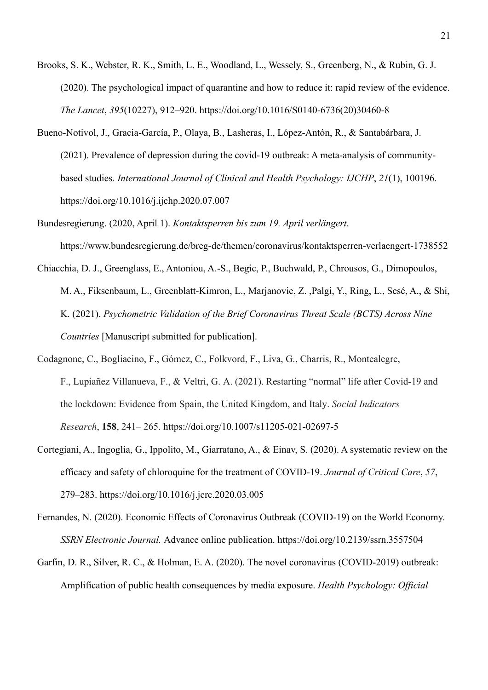- Brooks, S. K., Webster, R. K., Smith, L. E., Woodland, L., Wessely, S., Greenberg, N., & Rubin, G. J. (2020). The psychological impact of quarantine and how to reduce it: rapid review of the evidence. *The Lancet*, *395*(10227), 912–920. https://doi.org/10.1016/S0140-6736(20)30460-8
- Bueno-Notivol, J., Gracia-García, P., Olaya, B., Lasheras, I., López-Antón, R., & Santabárbara, J. (2021). Prevalence of depression during the covid-19 outbreak: A meta-analysis of communitybased studies. *International Journal of Clinical and Health Psychology: IJCHP*, *21*(1), 100196. https://doi.org/10.1016/j.ijchp.2020.07.007
- Bundesregierung. (2020, April 1). *Kontaktsperren bis zum 19. April verlängert*. https://www.bundesregierung.de/breg-de/themen/coronavirus/kontaktsperren-verlaengert-1738552
- Chiacchia, D. J., Greenglass, E., Antoniou, A.-S., Begic, P., Buchwald, P., Chrousos, G., Dimopoulos, M. A., Fiksenbaum, L., Greenblatt-Kimron, L., Marjanovic, Z. ,Palgi, Y., Ring, L., Sesé, A., & Shi, K. (2021). *Psychometric Validation of the Brief Coronavirus Threat Scale (BCTS) Across Nine Countries* [Manuscript submitted for publication].
- Codagnone, C., Bogliacino, F., Gómez, C., Folkvord, F., Liva, G., Charris, R., Montealegre, F., Lupiañez Villanueva, F., & Veltri, G. A. (2021). Restarting "normal" life after Covid-19 and the lockdown: Evidence from Spain, the United Kingdom, and Italy. *Social Indicators Research*, **158**, 241– 265. https://doi.org/10.1007/s11205-021-02697-5
- Cortegiani, A., Ingoglia, G., Ippolito, M., Giarratano, A., & Einav, S. (2020). A systematic review on the efficacy and safety of chloroquine for the treatment of COVID-19. *Journal of Critical Care*, *57*, 279–283. https://doi.org/10.1016/j.jcrc.2020.03.005
- Fernandes, N. (2020). Economic Effects of Coronavirus Outbreak (COVID-19) on the World Economy. *SSRN Electronic Journal.* Advance online publication. https://doi.org/10.2139/ssrn.3557504
- Garfin, D. R., Silver, R. C., & Holman, E. A. (2020). The novel coronavirus (COVID-2019) outbreak: Amplification of public health consequences by media exposure. *Health Psychology: Official*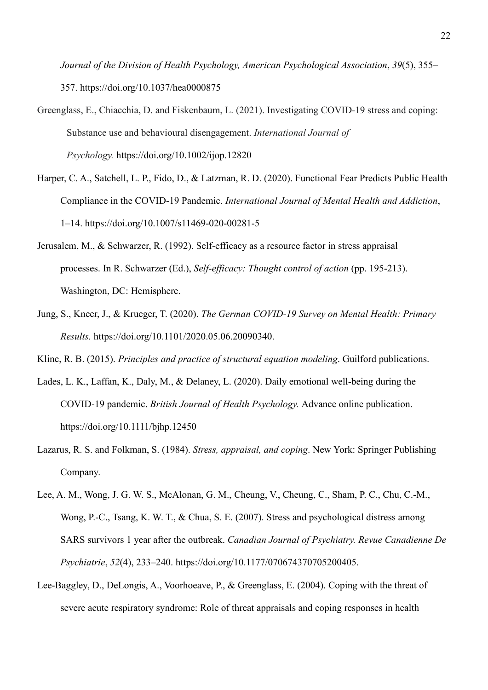*Journal of the Division of Health Psychology, American Psychological Association*, *39*(5), 355– 357. https://doi.org/10.1037/hea0000875

- Greenglass, E., Chiacchia, D. and Fiskenbaum, L. (2021). Investigating COVID-19 stress and coping: Substance use and behavioural disengagement. *International Journal of Psychology.* https://doi.org/10.1002/ijop.12820
- Harper, C. A., Satchell, L. P., Fido, D., & Latzman, R. D. (2020). Functional Fear Predicts Public Health Compliance in the COVID-19 Pandemic. *International Journal of Mental Health and Addiction*, 1–14. https://doi.org/10.1007/s11469-020-00281-5
- Jerusalem, M., & Schwarzer, R. (1992). Self-efficacy as a resource factor in stress appraisal processes. In R. Schwarzer (Ed.), *Self-efficacy: Thought control of action* (pp. 195-213). Washington, DC: Hemisphere.
- Jung, S., Kneer, J., & Krueger, T. (2020). *The German COVID-19 Survey on Mental Health: Primary Results.* https://doi.org/10.1101/2020.05.06.20090340.

Kline, R. B. (2015). *Principles and practice of structural equation modeling*. Guilford publications.

- Lades, L. K., Laffan, K., Daly, M., & Delaney, L. (2020). Daily emotional well-being during the COVID-19 pandemic. *British Journal of Health Psychology.* Advance online publication. https://doi.org/10.1111/bjhp.12450
- Lazarus, R. S. and Folkman, S. (1984). *Stress, appraisal, and coping*. New York: Springer Publishing Company.
- Lee, A. M., Wong, J. G. W. S., McAlonan, G. M., Cheung, V., Cheung, C., Sham, P. C., Chu, C.-M., Wong, P.-C., Tsang, K. W. T., & Chua, S. E. (2007). Stress and psychological distress among SARS survivors 1 year after the outbreak. *Canadian Journal of Psychiatry. Revue Canadienne De Psychiatrie*, *52*(4), 233–240. https://doi.org/10.1177/070674370705200405.
- Lee-Baggley, D., DeLongis, A., Voorhoeave, P., & Greenglass, E. (2004). Coping with the threat of severe acute respiratory syndrome: Role of threat appraisals and coping responses in health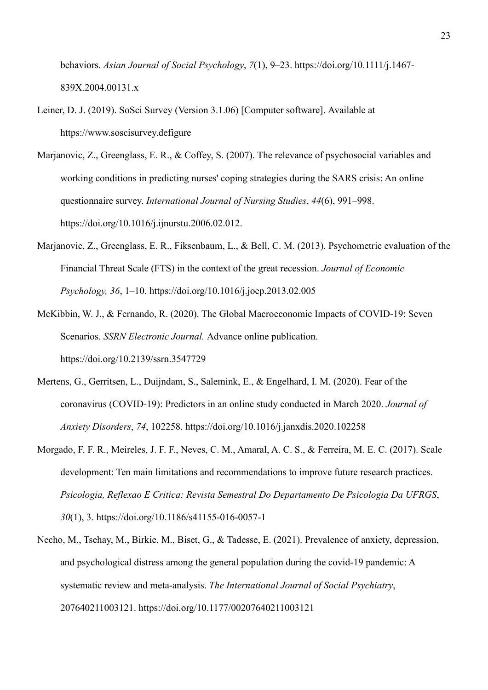behaviors. *Asian Journal of Social Psychology*, *7*(1), 9–23. https://doi.org/10.1111/j.1467- 839X.2004.00131.x

- Leiner, D. J. (2019). SoSci Survey (Version 3.1.06) [Computer software]. Available at https://www.soscisurvey.defigure
- Marjanovic, Z., Greenglass, E. R., & Coffey, S. (2007). The relevance of psychosocial variables and working conditions in predicting nurses' coping strategies during the SARS crisis: An online questionnaire survey. *International Journal of Nursing Studies*, *44*(6), 991–998. https://doi.org/10.1016/j.ijnurstu.2006.02.012.
- Marjanovic, Z., Greenglass, E. R., Fiksenbaum, L., & Bell, C. M. (2013). Psychometric evaluation of the Financial Threat Scale (FTS) in the context of the great recession. *Journal of Economic Psychology, 36*, 1–10. https://doi.org/10.1016/j.joep.2013.02.005
- McKibbin, W. J., & Fernando, R. (2020). The Global Macroeconomic Impacts of COVID-19: Seven Scenarios. *SSRN Electronic Journal.* Advance online publication. https://doi.org/10.2139/ssrn.3547729
- Mertens, G., Gerritsen, L., Duijndam, S., Salemink, E., & Engelhard, I. M. (2020). Fear of the coronavirus (COVID-19): Predictors in an online study conducted in March 2020. *Journal of Anxiety Disorders*, *74*, 102258. https://doi.org/10.1016/j.janxdis.2020.102258
- Morgado, F. F. R., Meireles, J. F. F., Neves, C. M., Amaral, A. C. S., & Ferreira, M. E. C. (2017). Scale development: Ten main limitations and recommendations to improve future research practices. *Psicologia, Reflexao E Critica: Revista Semestral Do Departamento De Psicologia Da UFRGS*, *30*(1), 3. https://doi.org/10.1186/s41155-016-0057-1
- Necho, M., Tsehay, M., Birkie, M., Biset, G., & Tadesse, E. (2021). Prevalence of anxiety, depression, and psychological distress among the general population during the covid-19 pandemic: A systematic review and meta-analysis. *The International Journal of Social Psychiatry*, 207640211003121. https://doi.org/10.1177/00207640211003121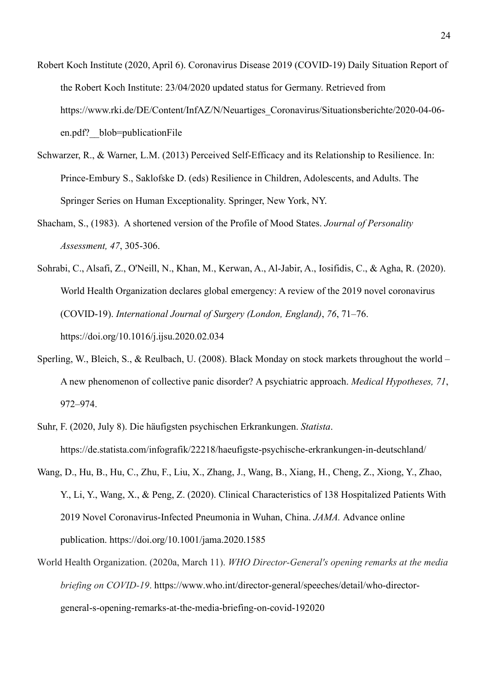- Robert Koch Institute (2020, April 6). Coronavirus Disease 2019 (COVID-19) Daily Situation Report of the Robert Koch Institute: 23/04/2020 updated status for Germany. Retrieved from https://www.rki.de/DE/Content/InfAZ/N/Neuartiges\_Coronavirus/Situationsberichte/2020-04-06 en.pdf? blob=publicationFile
- Schwarzer, R., & Warner, L.M. (2013) Perceived Self-Efficacy and its Relationship to Resilience. In: Prince-Embury S., Saklofske D. (eds) Resilience in Children, Adolescents, and Adults. The Springer Series on Human Exceptionality. Springer, New York, NY.
- Shacham, S., (1983). A shortened version of the Profile of Mood States. *Journal of Personality Assessment, 47*, 305-306.

Sohrabi, C., Alsafi, Z., O'Neill, N., Khan, M., Kerwan, A., Al-Jabir, A., Iosifidis, C., & Agha, R. (2020). World Health Organization declares global emergency: A review of the 2019 novel coronavirus (COVID-19). *International Journal of Surgery (London, England)*, *76*, 71–76. https://doi.org/10.1016/j.ijsu.2020.02.034

- Sperling, W., Bleich, S., & Reulbach, U. (2008). Black Monday on stock markets throughout the world A new phenomenon of collective panic disorder? A psychiatric approach. *Medical Hypotheses, 71*, 972–974.
- Suhr, F. (2020, July 8). Die häufigsten psychischen Erkrankungen. *Statista*. https://de.statista.com/infografik/22218/haeufigste-psychische-erkrankungen-in-deutschland/
- Wang, D., Hu, B., Hu, C., Zhu, F., Liu, X., Zhang, J., Wang, B., Xiang, H., Cheng, Z., Xiong, Y., Zhao, Y., Li, Y., Wang, X., & Peng, Z. (2020). Clinical Characteristics of 138 Hospitalized Patients With 2019 Novel Coronavirus-Infected Pneumonia in Wuhan, China. *JAMA.* Advance online publication. https://doi.org/10.1001/jama.2020.1585
- World Health Organization. (2020a, March 11). *WHO Director-General's opening remarks at the media briefing on COVID-19*. https://www.who.int/director-general/speeches/detail/who-directorgeneral-s-opening-remarks-at-the-media-briefing-on-covid-192020